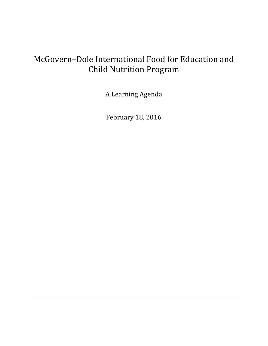# McGovern–Dole International Food for Education and Child Nutrition Program

A Learning Agenda

February 18, 2016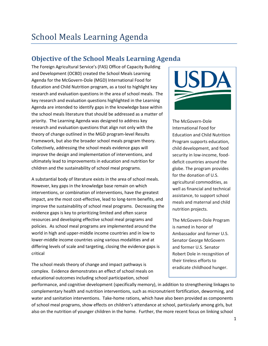# **Objective of the School Meals Learning Agenda**

The Foreign Agricultural Service's (FAS) Office of Capacity Building and Development (OCBD) created the School Meals Learning Agenda for the McGovern-Dole (MGD) International Food for Education and Child Nutrition program, as a tool to highlight key research and evaluation questions in the area of school meals. The key research and evaluation questions highlighted in the Learning Agenda are intended to identify gaps in the knowledge base within the school meals literature that should be addressed as a matter of priority. The Learning Agenda was designed to address key research and evaluation questions that align not only with the theory of change outlined in the MGD program-level Results Framework, but also the broader school meals program theory. Collectively, addressing the school meals evidence gaps will improve the design and implementation of interventions, and ultimately lead to improvements in education and nutrition for children and the sustainability of school meal programs.

A substantial body of literature exists in the area of school meals. However, key gaps in the knowledge base remain on which interventions, or combination of interventions, have the greatest impact, are the most cost-effective, lead to long-term benefits, and improve the sustainability of school meal programs. Decreasing the evidence gaps is key to prioritizing limited and often scarce resources and developing effective school meal programs and policies. As school meal programs are implemented around the world in high and upper-middle income countries and in low to lower-middle income countries using various modalities and at differing levels of scale and targeting, closing the evidence gaps is critical

The school meals theory of change and impact pathways is complex. Evidence demonstrates an effect of school meals on educational outcomes including school participation, school



The McGovern-Dole International Food for Education and Child Nutrition Program supports education, child development, and food security in low-income, fooddeficit countries around the globe. The program provides for the donation of U.S. agricultural commodities, as well as financial and technical assistance, to support school meals and maternal and child nutrition projects.

The McGovern-Dole Program is named in honor of Ambassador and former U.S. Senator George McGovern and former U.S. Senator Robert Dole in recognition of their tireless efforts to eradicate childhood hunger.

performance, and cognitive development (specifically memory), in addition to strengthening linkages to complementary health and nutrition interventions, such as micronutrient fortification, deworming, and water and sanitation interventions. Take-home rations, which have also been provided as components of school meal programs, show effects on children's attendance at school, particularly among girls, but also on the nutrition of younger children in the home. Further, the more recent focus on linking school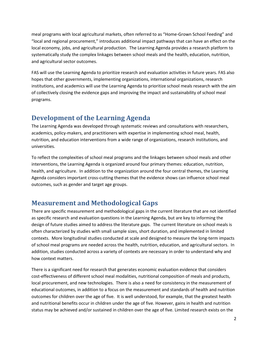meal programs with local agricultural markets, often referred to as "Home-Grown School Feeding" and "local and regional procurement," introduces additional impact pathways that can have an effect on the local economy, jobs, and agricultural production. The Learning Agenda provides a research platform to systematically study the complex linkages between school meals and the health, education, nutrition, and agricultural sector outcomes.

FAS will use the Learning Agenda to prioritize research and evaluation activities in future years. FAS also hopes that other governments, implementing organizations, international organizations, research institutions, and academics will use the Learning Agenda to prioritize school meals research with the aim of collectively closing the evidence gaps and improving the impact and sustainability of school meal programs.

# **Development of the Learning Agenda**

The Learning Agenda was developed through systematic reviews and consultations with researchers, academics, policy-makers, and practitioners with expertise in implementing school meal, health, nutrition, and education interventions from a wide range of organizations, research institutions, and universities.

To reflect the complexities of school meal programs and the linkages between school meals and other interventions, the Learning Agenda is organized around four primary themes: education, nutrition, health, and agriculture. In addition to the organization around the four central themes, the Learning Agenda considers important cross-cutting themes that the evidence shows can influence school meal outcomes, such as gender and target age groups.

## **Measurement and Methodological Gaps**

There are specific measurement and methodological gaps in the current literature that are not identified as specific research and evaluation questions in the Learning Agenda, but are key to informing the design of future studies aimed to address the literature gaps. The current literature on school meals is often characterized by studies with small sample sizes, short duration, and implemented in limited contexts. More longitudinal studies conducted at scale and designed to measure the long-term impacts of school meal programs are needed across the health, nutrition, education, and agricultural sectors. In addition, studies conducted across a variety of contexts are necessary in order to understand why and how context matters.

There is a significant need for research that generates economic evaluation evidence that considers cost-effectiveness of different school meal modalities, nutritional composition of meals and products, local procurement, and new technologies. There is also a need for consistency in the measurement of educational outcomes, in addition to a focus on the measurement and standards of health and nutrition outcomes for children over the age of five. It is well understood, for example, that the greatest health and nutritional benefits occur in children under the age of five. However, gains in health and nutrition status may be achieved and/or sustained in children over the age of five. Limited research exists on the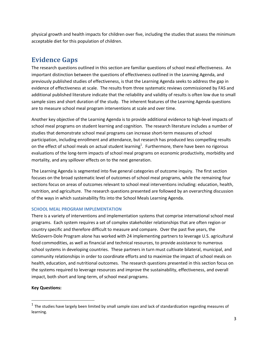physical growth and health impacts for children over five, including the studies that assess the minimum acceptable diet for this population of children.

# **Evidence Gaps**

The research questions outlined in this section are familiar questions of school meal effectiveness. An important distinction between the questions of effectiveness outlined in the Learning Agenda, and previously published studies of effectiveness, is that the Learning Agenda seeks to address the gap in evidence of effectiveness at scale. The results from three systematic reviews commissioned by FAS and additional published literature indicate that the reliability and validity of results is often low due to small sample sizes and short duration of the study. The inherent features of the Learning Agenda questions are to measure school meal program interventions at scale and over time.

Another key objective of the Learning Agenda is to provide additional evidence to high-level impacts of school meal programs on student learning and cognition. The research literature includes a number of studies that demonstrate school meal programs can increase short-term measures of school participation, including enrollment and attendance, but research has produced less compelling results on the effect of school meals on actual student learning<sup>1</sup>. Furthermore, there have been no rigorous evaluations of the long-term impacts of school meal programs on economic productivity, morbidity and mortality, and any spillover effects on to the next generation.

The Learning Agenda is segmented into five general categories of outcome inquiry. The first section focuses on the broad systematic level of outcomes of school meal programs, while the remaining four sections focus on areas of outcomes relevant to school meal interventions including: education, health, nutrition, and agriculture. The research questions presented are followed by an overarching discussion of the ways in which sustainability fits into the School Meals Learning Agenda.

### **SCHOOL MEAL PROGRAM IMPLEMENTATION**

There is a variety of interventions and implementation systems that comprise international school meal programs. Each system requires a set of complex stakeholder relationships that are often region or country specific and therefore difficult to measure and compare. Over the past five years, the McGovern-Dole Program alone has worked with 24 implementing partners to leverage U.S. agricultural food commodities, as well as financial and technical resources, to provide assistance to numerous school systems in developing countries. These partners in turn must cultivate bilateral, municipal, and community relationships in order to coordinate efforts and to maximize the impact of school meals on health, education, and nutritional outcomes. The research questions presented in this section focus on the systems required to leverage resources and improve the sustainability, effectiveness, and overall impact, both short and long-term, of school meal programs.

### **Key Questions:**

 $^1$  The studies have largely been limited by small sample sizes and lack of standardization regarding measures of learning.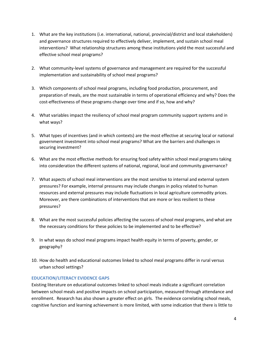- 1. What are the key institutions (i.e. international, national, provincial/district and local stakeholders) and governance structures required to effectively deliver, implement, and sustain school meal interventions? What relationship structures among these institutions yield the most successful and effective school meal programs?
- 2. What community-level systems of governance and management are required for the successful implementation and sustainability of school meal programs?
- 3. Which components of school meal programs, including food production, procurement, and preparation of meals, are the most sustainable in terms of operational efficiency and why? Does the cost-effectiveness of these programs change over time and if so, how and why?
- 4. What variables impact the resiliency of school meal program community support systems and in what ways?
- 5. What types of incentives (and in which contexts) are the most effective at securing local or national government investment into school meal programs? What are the barriers and challenges in securing investment?
- 6. What are the most effective methods for ensuring food safety within school meal programs taking into consideration the different systems of national, regional, local and community governance?
- 7. What aspects of school meal interventions are the most sensitive to internal and external system pressures? For example, internal pressures may include changes in policy related to human resources and external pressures may include fluctuations in local agriculture commodity prices. Moreover, are there combinations of interventions that are more or less resilient to these pressures?
- 8. What are the most successful policies affecting the success of school meal programs, and what are the necessary conditions for these policies to be implemented and to be effective?
- 9. In what ways do school meal programs impact health equity in terms of poverty, gender, or geography?
- 10. How do health and educational outcomes linked to school meal programs differ in rural versus urban school settings?

### **EDUCATION/LITERACY EVIDENCE GAPS**

Existing literature on educational outcomes linked to school meals indicate a significant correlation between school meals and positive impacts on school participation, measured through attendance and enrollment. Research has also shown a greater effect on girls. The evidence correlating school meals, cognitive function and learning achievement is more limited, with some indication that there is little to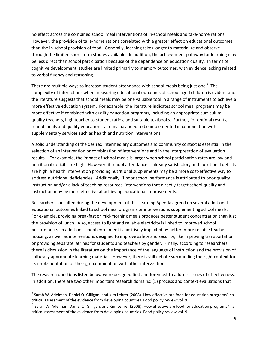no effect across the combined school meal interventions of in-school meals and take-home rations. However, the provision of take-home rations correlated with a greater effect on educational outcomes than the in-school provision of food. Generally, learning takes longer to materialize and observe through the limited short-term studies available. In addition, the achievement pathway for learning may be less direct than school participation because of the dependence on education quality. In terms of cognitive development, studies are limited primarily to memory outcomes, with evidence lacking related to verbal fluency and reasoning.

There are multiple ways to increase student attendance with school meals being just one.<sup>2</sup> The complexity of interactions when measuring educational outcomes of school aged children is evident and the literature suggests that school meals may be one valuable tool in a range of instruments to achieve a more effective education system. For example, the literature indicates school meal programs may be more effective if combined with quality education programs, including an appropriate curriculum, quality teachers, high teacher to student ratios, and suitable textbooks. Further, for optimal results, school meals and quality education systems may need to be implemented in combination with supplementary services such as health and nutrition interventions.

A solid understanding of the desired intermediary outcomes and community context is essential in the selection of an intervention or combination of interventions and in the interpretation of evaluation results.<sup>3</sup> For example, the impact of school meals is larger when school participation rates are low and nutritional deficits are high. However, if school attendance is already satisfactory and nutritional deficits are high, a health intervention providing nutritional supplements may be a more cost-effective way to address nutritional deficiencies. Additionally, if poor school performance is attributed to poor quality instruction and/or a lack of teaching resources, interventions that directly target school quality and instruction may be more effective at achieving educational improvements.

Researchers consulted during the development of this Learning Agenda agreed on several additional educational outcomes linked to school meal programs or interventions supplementing school meals. For example, providing breakfast or mid-morning meals produces better student concentration than just the provision of lunch. Also, access to light and reliable electricity is linked to improved school performance. In addition, school enrollment is positively impacted by better, more reliable teacher housing, as well as interventions designed to improve safety and security, like improving transportation or providing separate latrines for students and teachers by gender. Finally, according to researchers there is discussion in the literature on the importance of the language of instruction and the provision of culturally appropriate learning materials. However, there is still debate surrounding the right context for its implementation or the right combination with other interventions.

The research questions listed below were designed first and foremost to address issues of effectiveness. In addition, there are two other important research domains: (1) process and context evaluations that

<sup>&</sup>lt;sup>2</sup> Sarah W. Adelman, Daniel O. Gilligan, and Kim Lehrer (2008). How effective are food for education programs? : a critical assessment of the evidence from developing countries. Food policy review vol. 9

 $^3$  Sarah W. Adelman, Daniel O. Gilligan, and Kim Lehrer (2008). How effective are food for education programs? : a critical assessment of the evidence from developing countries. Food policy review vol. 9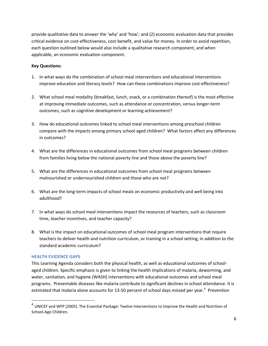provide qualitative data to answer the 'why' and 'how'; and (2) economic evaluation data that provides critical evidence on cost-effectiveness, cost-benefit, and value for money. In order to avoid repetition, each question outlined below would also include a qualitative research component, and when applicable, an economic evaluation component.

#### **Key Questions:**

- 1. In what ways do the combination of school meal interventions and educational interventions improve education and literacy levels? How can these combinations improve cost-effectiveness?
- 2. What school meal modality (breakfast, lunch, snack, or a combination thereof) is the most effective at improving immediate outcomes, such as attendance or concentration, versus longer-term outcomes, such as cognitive development or learning achievement?
- 3. How do educational outcomes linked to school meal interventions among preschool children compare with the impacts among primary school aged children? What factors affect any differences in outcomes?
- 4. What are the differences in educational outcomes from school meal programs between children from families living below the national poverty line and those above the poverty line?
- 5. What are the differences in educational outcomes from school meal programs between malnourished or undernourished children and those who are not?
- 6. What are the long-term impacts of school meals on economic productivity and well being into adulthood?
- 7. In what ways do school meal interventions impact the resources of teachers, such as classroom time, teacher incentives, and teacher capacity?
- 8. What is the impact on educational outcomes of school meal program interventions that require teachers to deliver health and nutrition curriculum, or training in a school setting, in addition to the standard academic curriculum?

#### **HEALTH EVIDENCE GAPS**

 $\overline{\phantom{a}}$ 

This Learning Agenda considers both the physical health, as well as educational outcomes of schoolaged children. Specific emphasis is given to linking the health implications of malaria, deworming, and water, sanitation, and hygiene (WASH) interventions with educational outcomes and school meal programs. Preventable diseases like malaria contribute to significant declines in school attendance. It is estimated that malaria alone accounts for 13-50 percent of school days missed per year.<sup>4</sup> Prevention

<sup>&</sup>lt;sup>4</sup> UNICEF and WFP (2005). The Essential Package: Twelve Interventions to Improve the Health and Nutrition of School-Age Children.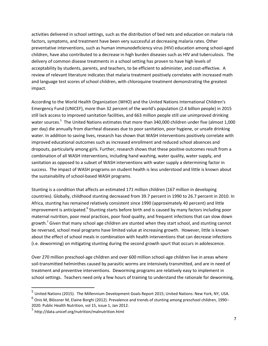activities delivered in school settings, such as the distribution of bed nets and education on malaria risk factors, symptoms, and treatment have been very successful at decreasing malaria rates. Other preventative interventions, such as human immunodeficiency virus (HIV) education among school-aged children, have also contributed to a decrease in high burden diseases such as HIV and tuberculosis. The delivery of common disease treatments in a school setting has proven to have high levels of acceptability by students, parents, and teachers, to be efficient to administer, and cost-effective. A review of relevant literature indicates that malaria treatment positively correlates with increased math and language test scores of school children, with chloroquine treatment demonstrating the greatest impact.

According to the World Health Organization (WHO) and the United Nations International Children's Emergency Fund (UNICEF), more than 32 percent of the world's population (2.4 billion people) in 2015 still lack access to improved sanitation facilities, and 663 million people still use unimproved drinking water sources.<sup>5</sup> The United Nations estimates that more than 340,000 children under five (almost 1,000 per day) die annually from diarrheal diseases due to poor sanitation, poor hygiene, or unsafe drinking water. In addition to saving lives, research has shown that WASH interventions positively correlate with improved educational outcomes such as increased enrollment and reduced school absences and dropouts, particularly among girls. Further, research shows that these positive outcomes result from a combination of all WASH interventions, including hand washing, water quality, water supply, and sanitation as opposed to a subset of WASH interventions with water supply a determining factor in success. The impact of WASH programs on student health is less understood and little is known about the sustainability of school-based WASH programs.

Stunting is a condition that affects an estimated 171 million children (167 million in developing countries). Globally, childhood stunting decreased from 39.7 percent in 1990 to 26.7 percent in 2010. In Africa, stunting has remained relatively consistent since 1990 (approximately 40 percent) and little improvement is anticipated.<sup>6</sup> Stunting starts before birth and is caused by many factors including poor maternal nutrition, poor meal practices, poor food quality, and frequent infections that can slow down growth.<sup>7</sup> Given that many school age children are stunted when they start school, and stunting cannot be reversed, school meal programs have limited value at increasing growth. However, little is known about the effect of school meals in combination with health interventions that can decrease infections (i.e. deworming) on mitigating stunting during the second growth spurt that occurs in adolescence.

Over 270 million preschool-age children and over 600 million school-age children live in areas where soil-transmitted helminthes caused by parasitic worms are intensively transmitted, and are in need of treatment and preventive interventions. Deworming programs are relatively easy to implement in school settings. Teachers need only a few hours of training to understand the rationale for deworming,

<sup>6</sup> Onis M, Blössner M, Elaine Borghi (2012). Prevalence and trends of stunting among preschool children, 1990– 2020. Public Health Nutrition, vol 15, issue 1, Jan 2012.

<sup>&</sup>lt;sup>5</sup> United Nations (2015). The Millennium Development Goals Report 2015; United Nations: New York, NY, USA.

<sup>7&</sup>lt;br>http://data.unicef.org/nutrition/malnutrition.html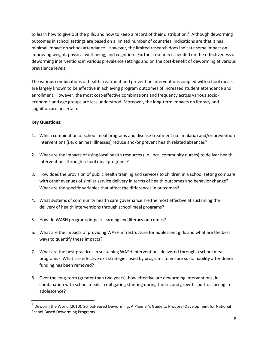to learn how to give out the pills, and how to keep a record of their distribution.<sup>8</sup> Although deworming outcomes in school settings are based on a limited number of countries, indications are that it has minimal impact on school attendance. However, the limited research does indicate some impact on improving weight, physical well-being, and cognition. Further research is needed on the effectiveness of deworming interventions in various prevalence settings and on the cost-benefit of deworming at various prevalence levels.

The various combinations of health treatment and prevention interventions coupled with school meals are largely known to be effective in achieving program outcomes of increased student attendance and enrollment. However, the most cost-effective combinations and frequency across various socioeconomic and age groups are less understood. Moreover, the long-term impacts on literacy and cognition are uncertain.

#### **Key Questions:**

- 1. Which combination of school meal programs and disease treatment (i.e. malaria) and/or prevention interventions (i.e. diarrheal illnesses) reduce and/or prevent health related absences?
- 2. What are the impacts of using local health resources (i.e. local community nurses) to deliver health interventions through school meal programs?
- 3. How does the provision of public health training and services to children in a school setting compare with other avenues of similar service delivery in terms of health outcomes and behavior change? What are the specific variables that affect the differences in outcomes?
- 4. What systems of community health care governance are the most effective at sustaining the delivery of health interventions through school meal programs?
- 5. How do WASH programs impact learning and literacy outcomes?
- 6. What are the impacts of providing WASH infrastructure for adolescent girls and what are the best ways to quantify these impacts?
- 7. What are the best practices in sustaining WASH interventions delivered through a school meal programs? What are effective exit strategies used by programs to ensure sustainability after donor funding has been removed?
- 8. Over the long-term (greater than two years), how effective are deworming interventions, in combination with school meals in mitigating stunting during the second growth spurt occurring in adolescence?

<sup>&</sup>lt;sup>8</sup> Deworm the World (2010). School-Based Deworming: A Planner's Guide to Proposal Development for National School-Based Deworming Programs.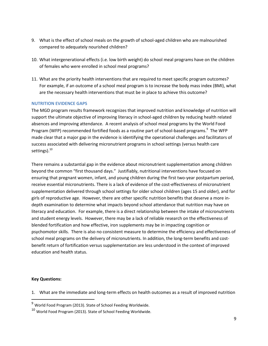- 9. What is the effect of school meals on the growth of school-aged children who are malnourished compared to adequately nourished children?
- 10. What intergenerational effects (i.e. low birth weight) do school meal programs have on the children of females who were enrolled in school meal programs?
- 11. What are the priority health interventions that are required to meet specific program outcomes? For example, if an outcome of a school meal program is to increase the body mass index (BMI), what are the necessary health interventions that must be in place to achieve this outcome?

#### **NUTRITION EVIDENCE GAPS**

The MGD program results framework recognizes that improved nutrition and knowledge of nutrition will support the ultimate objective of improving literacy in school-aged children by reducing health related absences and improving attendance. A recent analysis of school meal programs by the World Food Program (WFP) recommended fortified foods as a routine part of school-based programs.<sup>9</sup> The WFP made clear that a major gap in the evidence is identifying the operational challenges and facilitators of success associated with delivering micronutrient programs in school settings (versus health care settings).<sup>10</sup>

There remains a substantial gap in the evidence about micronutrient supplementation among children beyond the common "first thousand days." Justifiably, nutritional interventions have focused on ensuring that pregnant women, infant, and young children during the first two-year postpartum period, receive essential micronutrients. There is a lack of evidence of the cost-effectiveness of micronutrient supplementation delivered through school settings for older school children (ages 15 and older), and for girls of reproductive age. However, there are other specific nutrition benefits that deserve a more indepth examination to determine what impacts beyond school attendance that nutrition may have on literacy and education. For example, there is a direct relationship between the intake of micronutrients and student energy levels. However, there may be a lack of reliable research on the effectiveness of blended fortification and how effective, iron supplements may be in impacting cognition or psychomotor skills. There is also no consistent measure to determine the efficiency and effectiveness of school meal programs on the delivery of micronutrients. In addition, the long-term benefits and costbenefit return of fortification versus supplementation are less understood in the context of improved education and health status.

#### **Key Questions:**

 $\overline{a}$ 

1. What are the immediate and long-term effects on health outcomes as a result of improved nutrition

 $9$  World Food Program (2013). State of School Feeding Worldwide.

<sup>10</sup> World Food Program (2013). State of School Feeding Worldwide.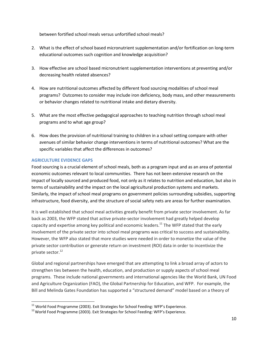between fortified school meals versus unfortified school meals?

- 2. What is the effect of school based micronutrient supplementation and/or fortification on long-term educational outcomes such cognition and knowledge acquisition?
- 3. How effective are school based micronutrient supplementation interventions at preventing and/or decreasing health related absences?
- 4. How are nutritional outcomes affected by different food sourcing modalities of school meal programs? Outcomes to consider may include iron deficiency, body mass, and other measurements or behavior changes related to nutritional intake and dietary diversity.
- 5. What are the most effective pedagogical approaches to teaching nutrition through school meal programs and to what age group?
- 6. How does the provision of nutritional training to children in a school setting compare with other avenues of similar behavior change interventions in terms of nutritional outcomes? What are the specific variables that affect the differences in outcomes?

### **AGRICULTURE EVIDENCE GAPS**

l

Food sourcing is a crucial element of school meals, both as a program input and as an area of potential economic outcomes relevant to local communities. There has not been extensive research on the impact of locally sourced and produced food, not only as it relates to nutrition and education, but also in terms of sustainability and the impact on the local agricultural production systems and markets. Similarly, the impact of school meal programs on government policies surrounding subsidies, supporting infrastructure, food diversity, and the structure of social safety nets are areas for further examination.

It is well established that school meal activities greatly benefit from private sector involvement. As far back as 2003, the WFP stated that active private-sector involvement had greatly helped develop capacity and expertise among key political and economic leaders.<sup>11</sup> The WFP stated that the early involvement of the private sector into school meal programs was critical to success and sustainability. However, the WFP also stated that more studies were needed in order to monetize the value of the private sector contribution or generate return on investment (ROI) data in order to incentivize the private sector. 12

Global and regional partnerships have emerged that are attempting to link a broad array of actors to strengthen ties between the health, education, and production or supply aspects of school meal programs. These include national governments and international agencies like the World Bank, UN Food and Agriculture Organization (FAO), the Global Partnership for Education, and WFP. For example, the Bill and Melinda Gates Foundation has supported a "structured demand" model based on a theory of

 $11$  World Food Programme (2003). Exit Strategies for School Feeding: WFP's Experience.

<sup>&</sup>lt;sup>12</sup> World Food Programme (2003). Exit Strategies for School Feeding: WFP's Experience.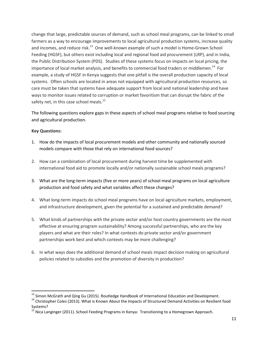change that large, predictable sources of demand, such as school meal programs, can be linked to small farmers as a way to encourage improvements to local agricultural production systems, increase quality and incomes, and reduce risk.<sup>13</sup> One well-known example of such a model is Home-Grown School Feeding (HGSF), but others exist including local and regional food aid procurement (LRP), and in India, the Public Distribution System (PDS). Studies of these systems focus on impacts on local pricing, the importance of local market analysis, and benefits to commercial food traders or middlemen.<sup>14</sup> For example, a study of HGSF in Kenya suggests that one pitfall is the overall production capacity of local systems. Often schools are located in areas not equipped with agricultural production resources, so care must be taken that systems have adequate support from local and national leadership and have ways to monitor issues related to corruption or market favoritism that can disrupt the fabric of the safety net, in this case school meals.<sup>15</sup>

The following questions explore gaps in these aspects of school meal programs relative to food sourcing and agricultural production.

### **Key Questions:**

 $\overline{a}$ 

- 1. How do the impacts of local procurement models and other community and nationally sourced models compare with those that rely on international food sources?
- 2. How can a combination of local procurement during harvest time be supplemented with international food aid to promote locally and/or nationally sustainable school meals programs?
- 3. What are the long-term impacts (five or more years) of school meal programs on local agriculture production and food safety and what variables affect these changes?
- 4. What long-term impacts do school meal programs have on local agriculture markets, employment, and infrastructure development, given the potential for a sustained and predictable demand?
- 5. What kinds of partnerships with the private sector and/or host country governments are the most effective at ensuring program sustainability? Among successful partnerships, who are the key players and what are their roles? In what contexts do private sector and/or government partnerships work best and which contexts may be more challenging?
- 6. In what ways does the additional demand of school meals impact decision making on agricultural policies related to subsidies and the promotion of diversity in production?

 $^{13}$  Simon McGrath and Qing Gu (2015). Routledge Handbook of International Education and Development.

<sup>&</sup>lt;sup>14</sup> Christopher Coles (2013). What is Known About the Impacts of Structured Demand Activities on Resilient food Systems?

<sup>&</sup>lt;sup>15</sup> Nica Langinger (2011). School Feeding Programs in Kenya: Transitioning to a Homegrown Approach.